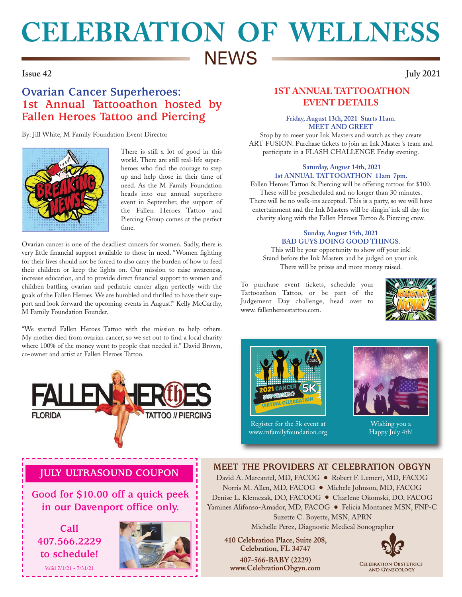# **CELEBRATION OF WELLNESS NEWS**

### **Issue 42 July 2021**

# **Ovarian Cancer Superheroes: 1st Annual Tattooathon hosted by Fallen Heroes Tattoo and Piercing**

By: Jill White, M Family Foundation Event Director



There is still a lot of good in this world. There are still real-life superheroes who find the courage to step up and help those in their time of need. As the M Family Foundation heads into our annual superhero event in September, the support of the Fallen Heroes Tattoo and Piercing Group comes at the perfect time.

Ovarian cancer is one of the deadliest cancers for women. Sadly, there is very little financial support available to those in need. "Women fighting for their lives should not be forced to also carry the burden of how to feed their children or keep the lights on. Our mission to raise awareness, increase education, and to provide direct financial support to women and children battling ovarian and pediatric cancer align perfectly with the goals of the Fallen Heroes. We are humbled and thrilled to have their support and look forward the upcoming events in August!" Kelly McCarthy, M Family Foundation Founder.

"We started Fallen Heroes Tattoo with the mission to help others. My mother died from ovarian cancer, so we set out to find a local charity where 100% of the money went to people that needed it." David Brown, co-owner and artist at Fallen Heroes Tattoo.



# **1ST ANNUAL TATTOOATHON EVENT DETAILS**

### **Friday, August 13th, 2021 Starts 11am. MEET AND GREET**

Stop by to meet your Ink Masters and watch as they create ART FUSION. Purchase tickets to join an Ink Master 's team and participate in a FLASH CHALLENGE Friday evening.

### **Saturday, August 14th, 2021 1st ANNUAL TATTOOATHON 11am-7pm.**

Fallen Heroes Tattoo & Piercing will be offering tattoos for \$100. These will be prescheduled and no longer than 30 minutes. There will be no walk-ins accepted. This is a party, so we will have entertainment and the Ink Masters will be slingin' ink all day for charity along with the Fallen Heroes Tattoo & Piercing crew.

### **Sunday, August 15th, 2021 BAD GUYS DOING GOOD THINGS.**

This will be your opportunity to show off your ink! Stand before the Ink Masters and be judged on your ink. There will be prizes and more money raised.

To purchase event tickets, schedule your Tattooathon Tattoo, or be part of the Judgement Day challenge, head over to www. fallenheroestattoo.com.





Register for the 5k event at www.mfamilyfoundation.org



Happy July 4th!

# **JULY ULTRASOUND COUPON**

**Good for \$10.00 off a quick peek in our Davenport office only.** 

**Call 407.566.2229 to schedule!**

Valid 7/1/21 - 7/31/21



## **MEET THE PROVIDERS AT CELEBRATION OBGYN**

David A. Marcantel, MD, FACOG ● Robert F. Lemert, MD, FACOG Norris M. Allen, MD, FACOG ● Michele Johnson, MD, FACOG Denise L. Klemczak, DO, FACOOG ● Charlene Okomski, DO, FACOG Yamines Alifonso-Amador, MD, FACOG ● Felicia Montanez MSN, FNP-C Suzette C. Boyette, MSN, APRN Michelle Perez, Diagnostic Medical Sonographer

 **410 Celebration Place, Suite 208, Celebration, FL 34747 407-566-BABY (2229) www.CelebrationObgyn.com**